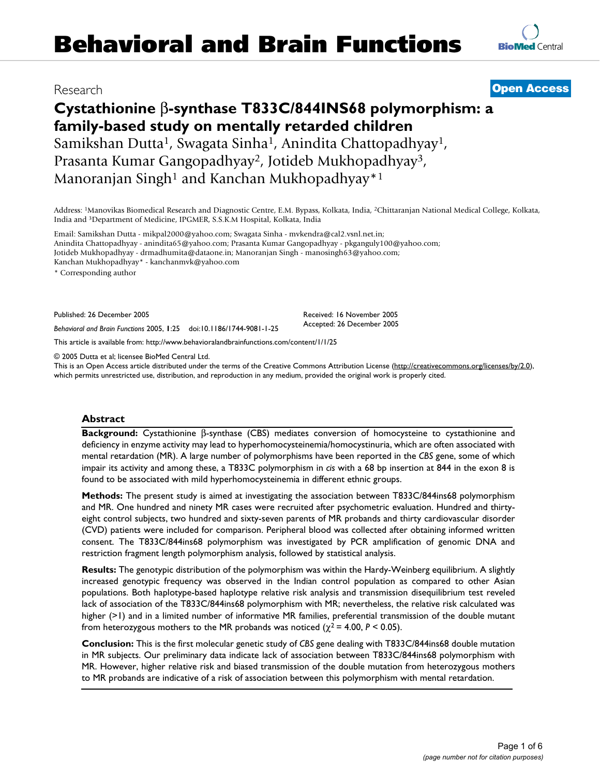# **Cystathionine** β**-synthase T833C/844INS68 polymorphism: a family-based study on mentally retarded children** Samikshan Dutta1, Swagata Sinha1, Anindita Chattopadhyay1, Prasanta Kumar Gangopadhyay2, Jotideb Mukhopadhyay3,

Manoranjan Singh<sup>1</sup> and Kanchan Mukhopadhyay<sup>\*1</sup>

Address: 1Manovikas Biomedical Research and Diagnostic Centre, E.M. Bypass, Kolkata, India, 2Chittaranjan National Medical College, Kolkata, India and 3Department of Medicine, IPGMER, S.S.K.M Hospital, Kolkata, India

Email: Samikshan Dutta - mikpal2000@yahoo.com; Swagata Sinha - mvkendra@cal2.vsnl.net.in; Anindita Chattopadhyay - anindita65@yahoo.com; Prasanta Kumar Gangopadhyay - pkganguly100@yahoo.com; Jotideb Mukhopadhyay - drmadhumita@dataone.in; Manoranjan Singh - manosingh63@yahoo.com; Kanchan Mukhopadhyay\* - kanchanmvk@yahoo.com

\* Corresponding author

Published: 26 December 2005

*Behavioral and Brain Functions* 2005, **1**:25 doi:10.1186/1744-9081-1-25

[This article is available from: http://www.behavioralandbrainfunctions.com/content/1/1/25](http://www.behavioralandbrainfunctions.com/content/1/1/25)

© 2005 Dutta et al; licensee BioMed Central Ltd.

This is an Open Access article distributed under the terms of the Creative Commons Attribution License [\(http://creativecommons.org/licenses/by/2.0\)](http://creativecommons.org/licenses/by/2.0), which permits unrestricted use, distribution, and reproduction in any medium, provided the original work is properly cited.

Received: 16 November 2005 Accepted: 26 December 2005

# **Abstract**

**Background:** Cystathionine β-synthase (CBS) mediates conversion of homocysteine to cystathionine and deficiency in enzyme activity may lead to hyperhomocysteinemia/homocystinuria, which are often associated with mental retardation (MR). A large number of polymorphisms have been reported in the *CBS* gene, some of which impair its activity and among these, a T833C polymorphism in *cis* with a 68 bp insertion at 844 in the exon 8 is found to be associated with mild hyperhomocysteinemia in different ethnic groups.

**Methods:** The present study is aimed at investigating the association between T833C/844ins68 polymorphism and MR. One hundred and ninety MR cases were recruited after psychometric evaluation. Hundred and thirtyeight control subjects, two hundred and sixty-seven parents of MR probands and thirty cardiovascular disorder (CVD) patients were included for comparison. Peripheral blood was collected after obtaining informed written consent. The T833C/844ins68 polymorphism was investigated by PCR amplification of genomic DNA and restriction fragment length polymorphism analysis, followed by statistical analysis.

**Results:** The genotypic distribution of the polymorphism was within the Hardy-Weinberg equilibrium. A slightly increased genotypic frequency was observed in the Indian control population as compared to other Asian populations. Both haplotype-based haplotype relative risk analysis and transmission disequilibrium test reveled lack of association of the T833C/844ins68 polymorphism with MR; nevertheless, the relative risk calculated was higher (>1) and in a limited number of informative MR families, preferential transmission of the double mutant from heterozygous mothers to the MR probands was noticed  $(\chi^2 = 4.00, P \le 0.05)$ .

**Conclusion:** This is the first molecular genetic study of *CBS* gene dealing with T833C/844ins68 double mutation in MR subjects. Our preliminary data indicate lack of association between T833C/844ins68 polymorphism with MR. However, higher relative risk and biased transmission of the double mutation from heterozygous mothers to MR probands are indicative of a risk of association between this polymorphism with mental retardation.



# Research **[Open Access](http://www.biomedcentral.com/info/about/charter/)**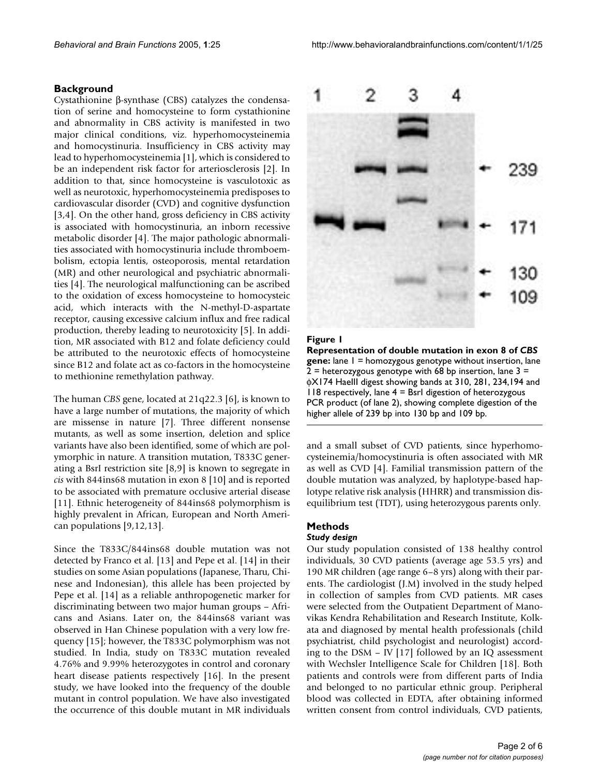### **Background**

Cystathionine β-synthase (CBS) catalyzes the condensation of serine and homocysteine to form cystathionine and abnormality in CBS activity is manifested in two major clinical conditions, viz. hyperhomocysteinemia and homocystinuria. Insufficiency in CBS activity may lead to hyperhomocysteinemia [1], which is considered to be an independent risk factor for arteriosclerosis [2]. In addition to that, since homocysteine is vasculotoxic as well as neurotoxic, hyperhomocysteinemia predisposes to cardiovascular disorder (CVD) and cognitive dysfunction [3,4]. On the other hand, gross deficiency in CBS activity is associated with homocystinuria, an inborn recessive metabolic disorder [4]. The major pathologic abnormalities associated with homocystinuria include thromboembolism, ectopia lentis, osteoporosis, mental retardation (MR) and other neurological and psychiatric abnormalities [4]. The neurological malfunctioning can be ascribed to the oxidation of excess homocysteine to homocysteic acid, which interacts with the N-methyl-D-aspartate receptor, causing excessive calcium influx and free radical production, thereby leading to neurotoxicity [5]. In addition, MR associated with B12 and folate deficiency could be attributed to the neurotoxic effects of homocysteine since B12 and folate act as co-factors in the homocysteine to methionine remethylation pathway.

The human *CBS* gene, located at 21q22.3 [6], is known to have a large number of mutations, the majority of which are missense in nature [7]. Three different nonsense mutants, as well as some insertion, deletion and splice variants have also been identified, some of which are polymorphic in nature. A transition mutation, T833C generating a BsrI restriction site [8,9] is known to segregate in *cis* with 844ins68 mutation in exon 8 [10] and is reported to be associated with premature occlusive arterial disease [11]. Ethnic heterogeneity of 844ins68 polymorphism is highly prevalent in African, European and North American populations [9,12,13].

Since the T833C/844ins68 double mutation was not detected by Franco et al. [13] and Pepe et al. [14] in their studies on some Asian populations (Japanese, Tharu, Chinese and Indonesian), this allele has been projected by Pepe et al. [14] as a reliable anthropogenetic marker for discriminating between two major human groups – Africans and Asians. Later on, the 844ins68 variant was observed in Han Chinese population with a very low frequency [15]; however, the T833C polymorphism was not studied. In India, study on T833C mutation revealed 4.76% and 9.99% heterozygotes in control and coronary heart disease patients respectively [16]. In the present study, we have looked into the frequency of the double mutant in control population. We have also investigated the occurrence of this double mutant in MR individuals



#### **Figure 1**

**Representation of double mutation in exon 8 of** *CBS*  **gene:** lane 1 = homozygous genotype without insertion, lane  $2$  = heterozygous genotype with 68 bp insertion, lane 3 = φX174 HaeIII digest showing bands at 310, 281, 234,194 and 118 respectively, lane 4 = BsrI digestion of heterozygous PCR product (of lane 2), showing complete digestion of the higher allele of 239 bp into 130 bp and 109 bp.

and a small subset of CVD patients, since hyperhomocysteinemia/homocystinuria is often associated with MR as well as CVD [4]. Familial transmission pattern of the double mutation was analyzed, by haplotype-based haplotype relative risk analysis (HHRR) and transmission disequilibrium test (TDT), using heterozygous parents only.

### **Methods**

#### *Study design*

Our study population consisted of 138 healthy control individuals, 30 CVD patients (average age 53.5 yrs) and 190 MR children (age range 6–8 yrs) along with their parents. The cardiologist (J.M) involved in the study helped in collection of samples from CVD patients. MR cases were selected from the Outpatient Department of Manovikas Kendra Rehabilitation and Research Institute, Kolkata and diagnosed by mental health professionals (child psychiatrist, child psychologist and neurologist) according to the DSM – IV [17] followed by an IQ assessment with Wechsler Intelligence Scale for Children [18]. Both patients and controls were from different parts of India and belonged to no particular ethnic group. Peripheral blood was collected in EDTA, after obtaining informed written consent from control individuals, CVD patients,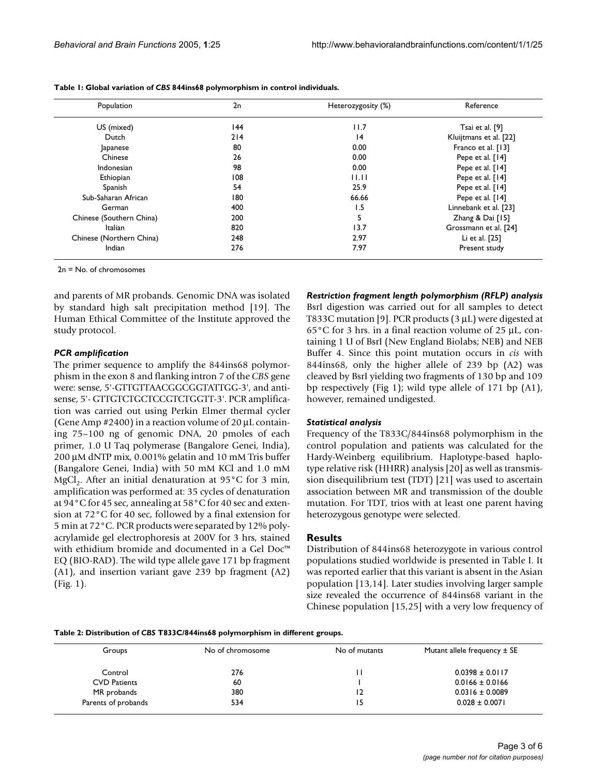| Population               | 2n  | Heterozygosity (%) | Reference              |  |
|--------------------------|-----|--------------------|------------------------|--|
| US (mixed)               | 144 | 11.7               | Tsai et al. [9]        |  |
| Dutch                    | 214 | 4                  | Kluijtmans et al. [22] |  |
| apanese                  | 80  | 0.00               | Franco et al. [13]     |  |
| Chinese                  | 26  | 0.00               | Pepe et al. [14]       |  |
| Indonesian               | 98  | 0.00               | Pepe et al. [14]       |  |
| Ethiopian                | 108 | 11.11              | Pepe et al. [14]       |  |
| Spanish                  | 54  | 25.9               | Pepe et al. [14]       |  |
| Sub-Saharan African      | 180 | 66.66              | Pepe et al. [14]       |  |
| German                   | 400 | 1.5                | Linnebank et al. [23]  |  |
| Chinese (Southern China) | 200 | 5                  | Zhang & Dai $[15]$     |  |
| Italian                  | 820 | 13.7               | Grossmann et al. [24]  |  |
| Chinese (Northern China) | 248 | 2.97               | Li et al. [25]         |  |
| Indian                   | 276 | 7.97               | Present study          |  |

**Table 1: Global variation of** *CBS* **844ins68 polymorphism in control individuals.**

2n = No. of chromosomes

and parents of MR probands. Genomic DNA was isolated by standard high salt precipitation method [19]. The Human Ethical Committee of the Institute approved the study protocol.

#### *PCR amplification*

The primer sequence to amplify the 844ins68 polymorphism in the exon 8 and flanking intron 7 of the *CBS* gene were: sense, 5'-GTTGTTAACGGCGGTATTGG-3', and antisense, 5'- GTTGTCTGCTCCGTCTGGTT-3'. PCR amplification was carried out using Perkin Elmer thermal cycler (Gene Amp  $#2400$ ) in a reaction volume of  $20 \mu L$  containing 75–100 ng of genomic DNA, 20 pmoles of each primer, 1.0 U Taq polymerase (Bangalore Genei, India), 200 µM dNTP mix, 0.001% gelatin and 10 mM Tris buffer (Bangalore Genei, India) with 50 mM KCl and 1.0 mM MgCl<sub>2</sub>. After an initial denaturation at  $95^{\circ}$ C for 3 min, amplification was performed at: 35 cycles of denaturation at 94°C for 45 sec, annealing at 58°C for 40 sec and extension at 72°C for 40 sec, followed by a final extension for 5 min at 72°C. PCR products were separated by 12% polyacrylamide gel electrophoresis at 200V for 3 hrs, stained with ethidium bromide and documented in a Gel Doc™ EQ (BIO-RAD). The wild type allele gave 171 bp fragment (A1), and insertion variant gave 239 bp fragment (A2) (Fig. 1).

# *Restriction fragment length polymorphism (RFLP) analysis*

BsrI digestion was carried out for all samples to detect T833C mutation [9]. PCR products (3 µL) were digested at  $65^{\circ}$ C for 3 hrs. in a final reaction volume of 25  $\mu$ L, containing 1 U of BsrI (New England Biolabs; NEB) and NEB Buffer 4. Since this point mutation occurs in *cis* with 844ins68, only the higher allele of 239 bp (A2) was cleaved by BsrI yielding two fragments of 130 bp and 109 bp respectively (Fig 1); wild type allele of 171 bp (A1), however, remained undigested.

#### *Statistical analysis*

Frequency of the T833C/844ins68 polymorphism in the control population and patients was calculated for the Hardy-Weinberg equilibrium. Haplotype-based haplotype relative risk (HHRR) analysis [20] as well as transmission disequilibrium test (TDT) [21] was used to ascertain association between MR and transmission of the double mutation. For TDT, trios with at least one parent having heterozygous genotype were selected.

#### **Results**

Distribution of 844ins68 heterozygote in various control populations studied worldwide is presented in Table I. It was reported earlier that this variant is absent in the Asian population [13,14]. Later studies involving larger sample size revealed the occurrence of 844ins68 variant in the Chinese population [15,25] with a very low frequency of

**Table 2: Distribution of** *CBS* **T833C/844ins68 polymorphism in different groups.**

| Groups              | No of chromosome | No of mutants | Mutant allele frequency $\pm$ SE |  |
|---------------------|------------------|---------------|----------------------------------|--|
| Control             | 276              |               | $0.0398 \pm 0.0117$              |  |
| <b>CVD Patients</b> | 60               |               | $0.0166 \pm 0.0166$              |  |
| MR probands         | 380              | 12            | $0.0316 \pm 0.0089$              |  |
| Parents of probands | 534              | 15            | $0.028 \pm 0.0071$               |  |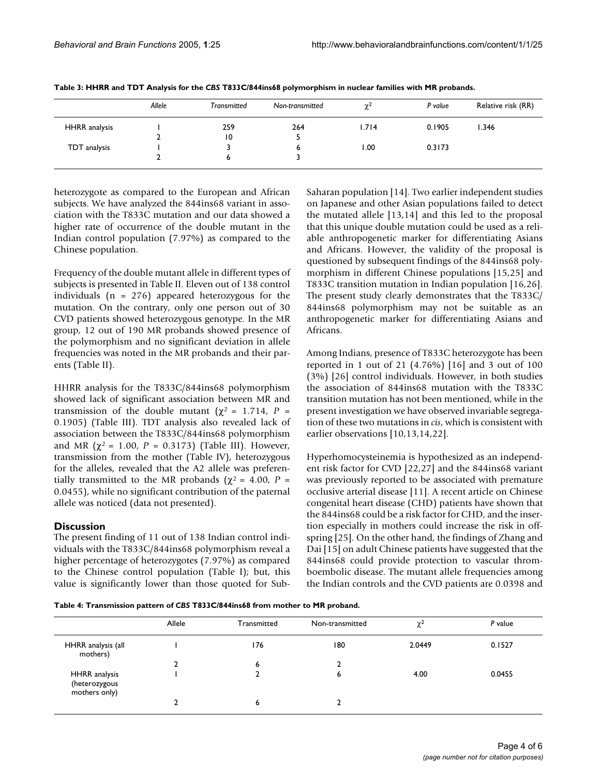| Allele | <b>Transmitted</b> | Non-transmitted | $\gamma$ | P value | Relative risk (RR) |
|--------|--------------------|-----------------|----------|---------|--------------------|
|        | 259                | 264             | 1.714    | 0.1905  | 1.346              |
|        | $\overline{10}$    |                 |          |         |                    |
|        |                    | o               | 1.00     | 0.3173  |                    |
|        |                    |                 |          |         |                    |
|        |                    |                 |          |         |                    |

|  | Table 3: HHRR and TDT Analysis for the CBS T833C/844ins68 polymorphism in nuclear families with MR probands. |  |
|--|--------------------------------------------------------------------------------------------------------------|--|
|  |                                                                                                              |  |

heterozygote as compared to the European and African subjects. We have analyzed the 844ins68 variant in association with the T833C mutation and our data showed a higher rate of occurrence of the double mutant in the Indian control population (7.97%) as compared to the Chinese population.

Frequency of the double mutant allele in different types of subjects is presented in Table II. Eleven out of 138 control individuals ( $n = 276$ ) appeared heterozygous for the mutation. On the contrary, only one person out of 30 CVD patients showed heterozygous genotype. In the MR group, 12 out of 190 MR probands showed presence of the polymorphism and no significant deviation in allele frequencies was noted in the MR probands and their parents (Table II).

HHRR analysis for the T833C/844ins68 polymorphism showed lack of significant association between MR and transmission of the double mutant ( $χ² = 1.714$ ,  $P =$ 0.1905) (Table III). TDT analysis also revealed lack of association between the T833C/844ins68 polymorphism and MR ( $\chi^2$  = 1.00, *P* = 0.3173) (Table III). However, transmission from the mother (Table IV), heterozygous for the alleles, revealed that the A2 allele was preferentially transmitted to the MR probands ( $\chi^2$  = 4.00, *P* = 0.0455), while no significant contribution of the paternal allele was noticed (data not presented).

# **Discussion**

The present finding of 11 out of 138 Indian control individuals with the T833C/844ins68 polymorphism reveal a higher percentage of heterozygotes (7.97%) as compared to the Chinese control population (Table I); but, this value is significantly lower than those quoted for SubSaharan population [14]. Two earlier independent studies on Japanese and other Asian populations failed to detect the mutated allele [13,14] and this led to the proposal that this unique double mutation could be used as a reliable anthropogenetic marker for differentiating Asians and Africans. However, the validity of the proposal is questioned by subsequent findings of the 844ins68 polymorphism in different Chinese populations [15,25] and T833C transition mutation in Indian population [16,26]. The present study clearly demonstrates that the T833C/ 844ins68 polymorphism may not be suitable as an anthropogenetic marker for differentiating Asians and Africans.

Among Indians, presence of T833C heterozygote has been reported in 1 out of 21 (4.76%) [16] and 3 out of 100 (3%) [26] control individuals. However, in both studies the association of 844ins68 mutation with the T833C transition mutation has not been mentioned, while in the present investigation we have observed invariable segregation of these two mutations in *cis*, which is consistent with earlier observations [10,13,14,22].

Hyperhomocysteinemia is hypothesized as an independent risk factor for CVD [22,27] and the 844ins68 variant was previously reported to be associated with premature occlusive arterial disease [11]. A recent article on Chinese congenital heart disease (CHD) patients have shown that the 844ins68 could be a risk factor for CHD, and the insertion especially in mothers could increase the risk in offspring [25]. On the other hand, the findings of Zhang and Dai [15] on adult Chinese patients have suggested that the 844ins68 could provide protection to vascular thromboembolic disease. The mutant allele frequencies among the Indian controls and the CVD patients are 0.0398 and

**Table 4: Transmission pattern of** *CBS* **T833C/844ins68 from mother to MR proband.**

|                                                 | Allele | Transmitted | Non-transmitted | $\chi^2$ | P value |
|-------------------------------------------------|--------|-------------|-----------------|----------|---------|
| HHRR analysis (all<br>mothers)                  |        | 176         | 180             | 2.0449   | 0.1527  |
|                                                 | h      | 6           |                 |          |         |
| HHRR analysis<br>(heterozygous<br>mothers only) |        |             | 6               | 4.00     | 0.0455  |
|                                                 |        | ь           |                 |          |         |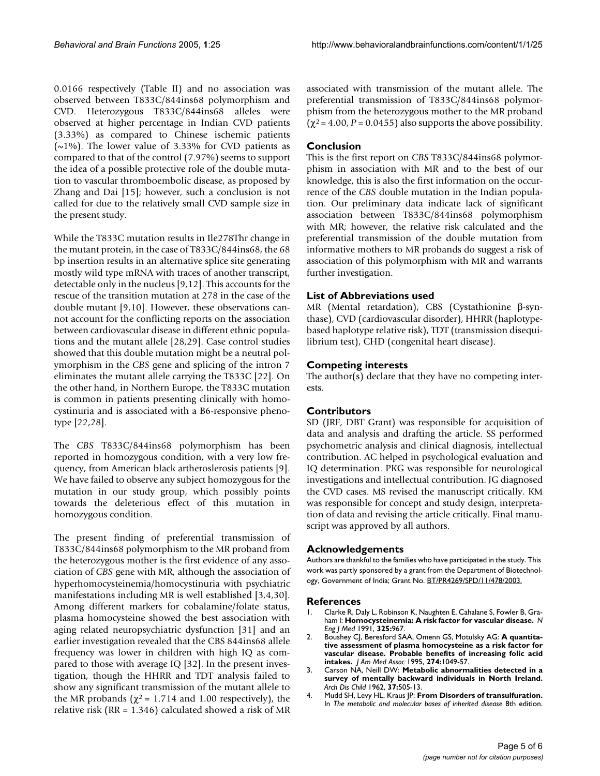0.0166 respectively (Table II) and no association was observed between T833C/844ins68 polymorphism and CVD. Heterozygous T833C/844ins68 alleles were observed at higher percentage in Indian CVD patients (3.33%) as compared to Chinese ischemic patients ( $\sim$ 1%). The lower value of 3.33% for CVD patients as compared to that of the control (7.97%) seems to support the idea of a possible protective role of the double mutation to vascular thromboembolic disease, as proposed by Zhang and Dai [15]; however, such a conclusion is not called for due to the relatively small CVD sample size in the present study.

While the T833C mutation results in Ile278Thr change in the mutant protein, in the case of T833C/844ins68, the 68 bp insertion results in an alternative splice site generating mostly wild type mRNA with traces of another transcript, detectable only in the nucleus [9,12]. This accounts for the rescue of the transition mutation at 278 in the case of the double mutant [9,10]. However, these observations cannot account for the conflicting reports on the association between cardiovascular disease in different ethnic populations and the mutant allele [28,29]. Case control studies showed that this double mutation might be a neutral polymorphism in the *CBS* gene and splicing of the intron 7 eliminates the mutant allele carrying the T833C [22]. On the other hand, in Northern Europe, the T833C mutation is common in patients presenting clinically with homocystinuria and is associated with a B6-responsive phenotype [22,28].

The *CBS* T833C/844ins68 polymorphism has been reported in homozygous condition, with a very low frequency, from American black artheroslerosis patients [9]. We have failed to observe any subject homozygous for the mutation in our study group, which possibly points towards the deleterious effect of this mutation in homozygous condition.

The present finding of preferential transmission of T833C/844ins68 polymorphism to the MR proband from the heterozygous mother is the first evidence of any association of *CBS* gene with MR, although the association of hyperhomocysteinemia/homocystinuria with psychiatric manifestations including MR is well established [3,4,30]. Among different markers for cobalamine/folate status, plasma homocysteine showed the best association with aging related neuropsychiatric dysfunction [31] and an earlier investigation revealed that the CBS 844ins68 allele frequency was lower in children with high IQ as compared to those with average IQ [32]. In the present investigation, though the HHRR and TDT analysis failed to show any significant transmission of the mutant allele to the MR probands ( $\chi^2$  = 1.714 and 1.00 respectively), the relative risk (RR = 1.346) calculated showed a risk of MR associated with transmission of the mutant allele. The preferential transmission of T833C/844ins68 polymorphism from the heterozygous mother to the MR proband  $(\chi^2 = 4.00, P = 0.0455)$  also supports the above possibility.

# **Conclusion**

This is the first report on *CBS* T833C/844ins68 polymorphism in association with MR and to the best of our knowledge, this is also the first information on the occurrence of the *CBS* double mutation in the Indian population. Our preliminary data indicate lack of significant association between T833C/844ins68 polymorphism with MR; however, the relative risk calculated and the preferential transmission of the double mutation from informative mothers to MR probands do suggest a risk of association of this polymorphism with MR and warrants further investigation.

# **List of Abbreviations used**

MR (Mental retardation), CBS (Cystathionine β-synthase), CVD (cardiovascular disorder), HHRR (haplotypebased haplotype relative risk), TDT (transmission disequilibrium test), CHD (congenital heart disease).

# **Competing interests**

The author(s) declare that they have no competing interests.

# **Contributors**

SD (JRF, DBT Grant) was responsible for acquisition of data and analysis and drafting the article. SS performed psychometric analysis and clinical diagnosis, intellectual contribution. AC helped in psychological evaluation and IQ determination. PKG was responsible for neurological investigations and intellectual contribution. JG diagnosed the CVD cases. MS revised the manuscript critically. KM was responsible for concept and study design, interpretation of data and revising the article critically. Final manuscript was approved by all authors.

### **Acknowledgements**

Authors are thankful to the families who have participated in the study. This work was partly sponsored by a grant from the Department of Biotechnology, Government of India; Grant No. BT/PR4269/SPD/11/478/2003.

### **References**

- 1. Clarke R, Daly L, Robinson K, Naughten E, Cahalane S, Fowler B, Graham I: **Homocysteinemia: A risk factor for vascular disease.** *N Eng J Med* 1991, **325:**967.
- 2. Boushey CJ, Beresford SAA, Omenn GS, Motulsky AG: **A quantitative assessment of plasma homocysteine as a risk factor for vascular disease. Probable benefits of increasing folic acid intakes.** *J Am Med Assoc* 1995, **274:**1049-57.
- 3. Carson NA, Neill DW: **[Metabolic abnormalities detected in a](http://www.ncbi.nlm.nih.gov/entrez/query.fcgi?cmd=Retrieve&db=PubMed&dopt=Abstract&list_uids=14018926) [survey of mentally backward individuals in North Ireland.](http://www.ncbi.nlm.nih.gov/entrez/query.fcgi?cmd=Retrieve&db=PubMed&dopt=Abstract&list_uids=14018926)** *Arch Dis Child* 1962, **37:**505-13.
- 4. Mudd SH, Levy HL, Kraus JP: **From Disorders of transulfuration.** In *The metabolic and molecular bases of inherited disease* 8th edition.